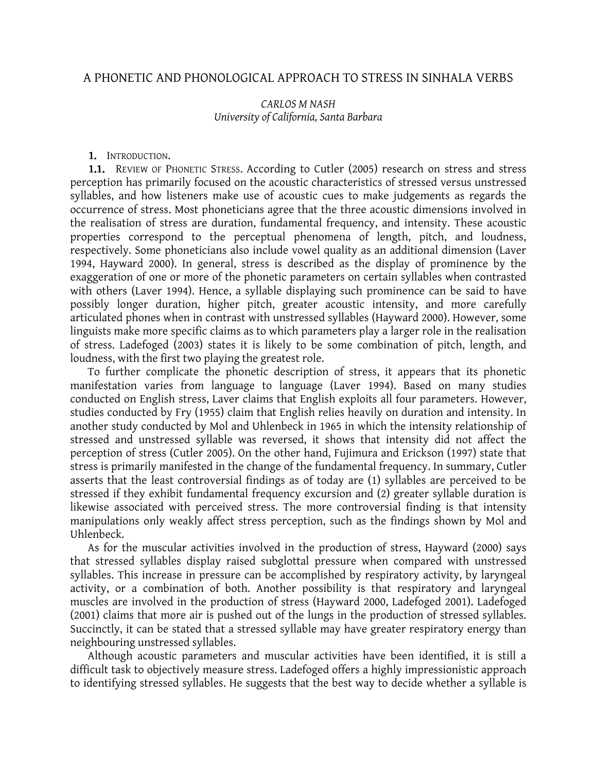### A PHONETIC AND PHONOLOGICAL APPROACH TO STRESS IN SINHALA VERBS

### CARLOS M NASH University of California, Santa Barbara

#### 1. INTRODUCTION.

1.1. REVIEW OF PHONETIC STRESS. According to Cutler (2005) research on stress and stress perception has primarily focused on the acoustic characteristics of stressed versus unstressed syllables, and how listeners make use of acoustic cues to make judgements as regards the occurrence of stress. Most phoneticians agree that the three acoustic dimensions involved in the realisation of stress are duration, fundamental frequency, and intensity. These acoustic properties correspond to the perceptual phenomena of length, pitch, and loudness, respectively. Some phoneticians also include vowel quality as an additional dimension (Laver 1994, Hayward 2000). In general, stress is described as the display of prominence by the exaggeration of one or more of the phonetic parameters on certain syllables when contrasted with others (Laver 1994). Hence, a syllable displaying such prominence can be said to have possibly longer duration, higher pitch, greater acoustic intensity, and more carefully articulated phones when in contrast with unstressed syllables (Hayward 2000). However, some linguists make more specific claims as to which parameters play a larger role in the realisation of stress. Ladefoged (2003) states it is likely to be some combination of pitch, length, and loudness, with the first two playing the greatest role.

To further complicate the phonetic description of stress, it appears that its phonetic manifestation varies from language to language (Laver 1994). Based on many studies conducted on English stress, Laver claims that English exploits all four parameters. However, studies conducted by Fry (1955) claim that English relies heavily on duration and intensity. In another study conducted by Mol and Uhlenbeck in 1965 in which the intensity relationship of stressed and unstressed syllable was reversed, it shows that intensity did not affect the perception of stress (Cutler 2005). On the other hand, Fujimura and Erickson (1997) state that stress is primarily manifested in the change of the fundamental frequency. In summary, Cutler asserts that the least controversial findings as of today are (1) syllables are perceived to be stressed if they exhibit fundamental frequency excursion and (2) greater syllable duration is likewise associated with perceived stress. The more controversial finding is that intensity manipulations only weakly affect stress perception, such as the findings shown by Mol and Uhlenbeck.

As for the muscular activities involved in the production of stress, Hayward (2000) says that stressed syllables display raised subglottal pressure when compared with unstressed syllables. This increase in pressure can be accomplished by respiratory activity, by laryngeal activity, or a combination of both. Another possibility is that respiratory and laryngeal muscles are involved in the production of stress (Hayward 2000, Ladefoged 2001). Ladefoged (2001) claims that more air is pushed out of the lungs in the production of stressed syllables. Succinctly, it can be stated that a stressed syllable may have greater respiratory energy than neighbouring unstressed syllables.

Although acoustic parameters and muscular activities have been identified, it is still a difficult task to objectively measure stress. Ladefoged offers a highly impressionistic approach to identifying stressed syllables. He suggests that the best way to decide whether a syllable is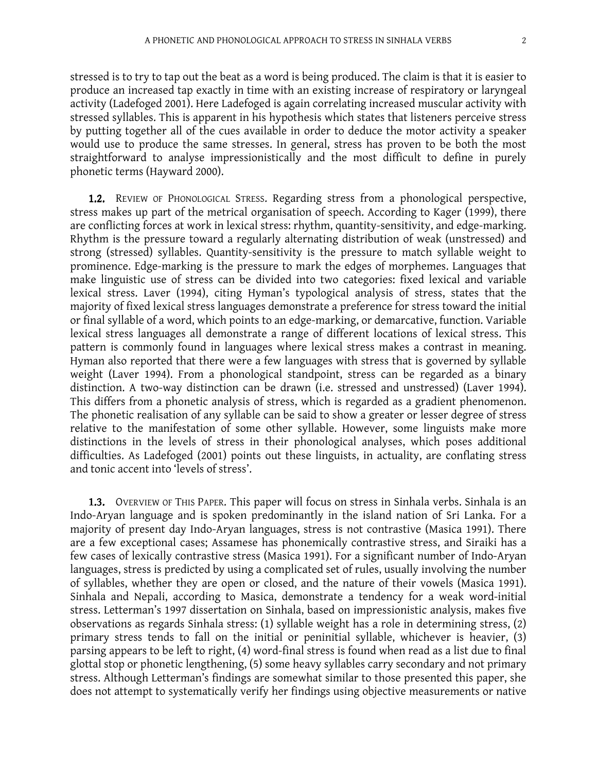stressed is to try to tap out the beat as a word is being produced. The claim is that it is easier to produce an increased tap exactly in time with an existing increase of respiratory or laryngeal activity (Ladefoged 2001). Here Ladefoged is again correlating increased muscular activity with stressed syllables. This is apparent in his hypothesis which states that listeners perceive stress by putting together all of the cues available in order to deduce the motor activity a speaker would use to produce the same stresses. In general, stress has proven to be both the most straightforward to analyse impressionistically and the most difficult to define in purely phonetic terms (Hayward 2000).

1.2. REVIEW OF PHONOLOGICAL STRESS. Regarding stress from a phonological perspective, stress makes up part of the metrical organisation of speech. According to Kager (1999), there are conflicting forces at work in lexical stress: rhythm, quantity-sensitivity, and edge-marking. Rhythm is the pressure toward a regularly alternating distribution of weak (unstressed) and strong (stressed) syllables. Quantity-sensitivity is the pressure to match syllable weight to prominence. Edge-marking is the pressure to mark the edges of morphemes. Languages that make linguistic use of stress can be divided into two categories: fixed lexical and variable lexical stress. Laver (1994), citing Hyman's typological analysis of stress, states that the majority of fixed lexical stress languages demonstrate a preference for stress toward the initial or final syllable of a word, which points to an edge-marking, or demarcative, function. Variable lexical stress languages all demonstrate a range of different locations of lexical stress. This pattern is commonly found in languages where lexical stress makes a contrast in meaning. Hyman also reported that there were a few languages with stress that is governed by syllable weight (Laver 1994). From a phonological standpoint, stress can be regarded as a binary distinction. A two-way distinction can be drawn (i.e. stressed and unstressed) (Laver 1994). This differs from a phonetic analysis of stress, which is regarded as a gradient phenomenon. The phonetic realisation of any syllable can be said to show a greater or lesser degree of stress relative to the manifestation of some other syllable. However, some linguists make more distinctions in the levels of stress in their phonological analyses, which poses additional difficulties. As Ladefoged (2001) points out these linguists, in actuality, are conflating stress and tonic accent into 'levels of stress'.

1.3. OVERVIEW OF THIS PAPER. This paper will focus on stress in Sinhala verbs. Sinhala is an Indo-Aryan language and is spoken predominantly in the island nation of Sri Lanka. For a majority of present day Indo-Aryan languages, stress is not contrastive (Masica 1991). There are a few exceptional cases; Assamese has phonemically contrastive stress, and Siraiki has a few cases of lexically contrastive stress (Masica 1991). For a significant number of Indo-Aryan languages, stress is predicted by using a complicated set of rules, usually involving the number of syllables, whether they are open or closed, and the nature of their vowels (Masica 1991). Sinhala and Nepali, according to Masica, demonstrate a tendency for a weak word-initial stress. Letterman's 1997 dissertation on Sinhala, based on impressionistic analysis, makes five observations as regards Sinhala stress: (1) syllable weight has a role in determining stress, (2) primary stress tends to fall on the initial or peninitial syllable, whichever is heavier, (3) parsing appears to be left to right, (4) word-final stress is found when read as a list due to final glottal stop or phonetic lengthening, (5) some heavy syllables carry secondary and not primary stress. Although Letterman's findings are somewhat similar to those presented this paper, she does not attempt to systematically verify her findings using objective measurements or native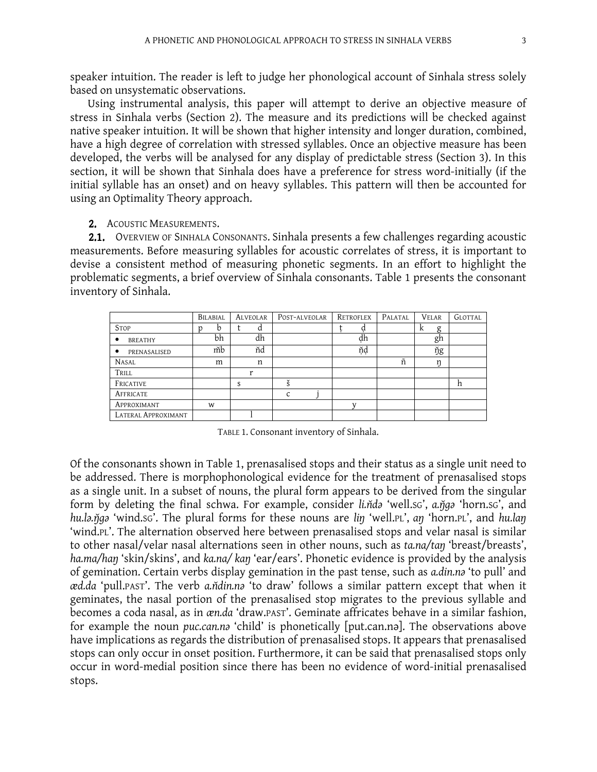speaker intuition. The reader is left to judge her phonological account of Sinhala stress solely based on unsystematic observations.

Using instrumental analysis, this paper will attempt to derive an objective measure of stress in Sinhala verbs (Section 2). The measure and its predictions will be checked against native speaker intuition. It will be shown that higher intensity and longer duration, combined, have a high degree of correlation with stressed syllables. Once an objective measure has been developed, the verbs will be analysed for any display of predictable stress (Section 3). In this section, it will be shown that Sinhala does have a preference for stress word-initially (if the initial syllable has an onset) and on heavy syllables. This pattern will then be accounted for using an Optimality Theory approach.

2. ACOUSTIC MEASUREMENTS.

2.1. OVERVIEW OF SINHALA CONSONANTS. Sinhala presents a few challenges regarding acoustic measurements. Before measuring syllables for acoustic correlates of stress, it is important to devise a consistent method of measuring phonetic segments. In an effort to highlight the problematic segments, a brief overview of Sinhala consonants. Table 1 presents the consonant inventory of Sinhala.

|                     | BILABIAL | <b>ALVEOLAR</b> | POST-ALVEOLAR | RETROFLEX | PALATAL | <b>VELAR</b> | GLOTTAL |
|---------------------|----------|-----------------|---------------|-----------|---------|--------------|---------|
| <b>STOP</b>         | b        | d               |               | à         |         | g<br>A       |         |
| <b>BREATHY</b><br>٠ | bh       | dh              |               | dh        |         | gh           |         |
| PRENASALISED<br>٠   | mb       | ňd              |               | ňḍ        |         | ўg           |         |
| <b>NASAL</b>        | m        | n               |               |           | ñ       | n            |         |
| TRILL               |          | r               |               |           |         |              |         |
| FRICATIVE           |          | S               |               |           |         |              | h       |
| AFFRICATE           |          |                 | $\mathsf{C}$  |           |         |              |         |
| APPROXIMANT         | W        |                 |               |           |         |              |         |
| LATERAL APPROXIMANT |          |                 |               |           |         |              |         |

TABLE 1. Consonant inventory of Sinhala.

Of the consonants shown in Table 1, prenasalised stops and their status as a single unit need to be addressed. There is morphophonological evidence for the treatment of prenasalised stops as a single unit. In a subset of nouns, the plural form appears to be derived from the singular form by deleting the final schwa. For example, consider li.nda 'well.sc', a.n̆ga 'horn.sc', and hu.la.ŋ̃ga 'wind.sc'. The plural forms for these nouns are lin 'well.pl', an 'horn.pl', and hu.lan 'wind.PL'. The alternation observed here between prenasalised stops and velar nasal is similar to other nasal/velar nasal alternations seen in other nouns, such as ta.na/taŋ 'breast/breasts', ha.ma/han 'skin/skins', and ka.na/ kan 'ear/ears'. Phonetic evidence is provided by the analysis of gemination. Certain verbs display gemination in the past tense, such as a.din.na 'to pull' and æd.da 'pull.PAST'. The verb a.ndin.na 'to draw' follows a similar pattern except that when it geminates, the nasal portion of the prenasalised stop migrates to the previous syllable and becomes a coda nasal, as in æn.da 'draw.PAST'. Geminate affricates behave in a similar fashion, for example the noun puc.can.na 'child' is phonetically [put.can.na]. The observations above have implications as regards the distribution of prenasalised stops. It appears that prenasalised stops can only occur in onset position. Furthermore, it can be said that prenasalised stops only occur in word-medial position since there has been no evidence of word-initial prenasalised stops.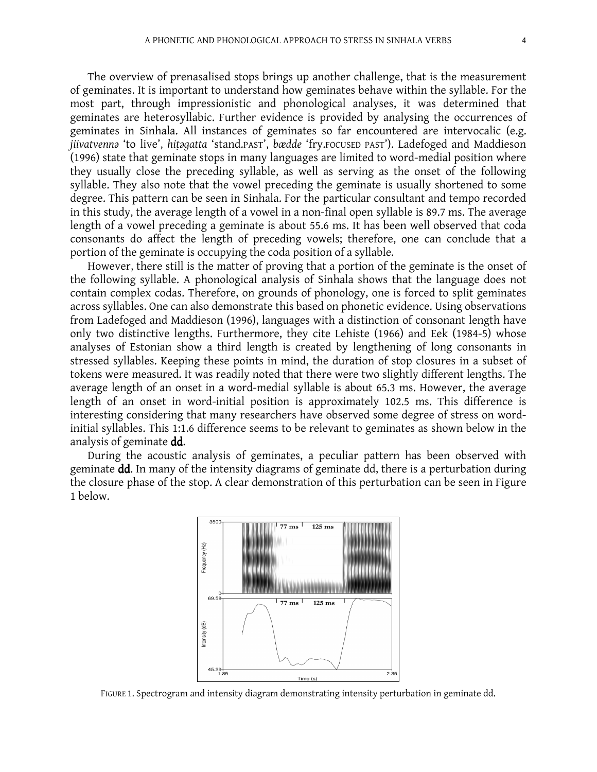The overview of prenasalised stops brings up another challenge, that is the measurement of geminates. It is important to understand how geminates behave within the syllable. For the most part, through impressionistic and phonological analyses, it was determined that geminates are heterosyllabic. Further evidence is provided by analysing the occurrences of geminates in Sinhala. All instances of geminates so far encountered are intervocalic (e.g. jiivatvenna 'to live', hițagatta 'stand.PAST', bædde 'fry.FOCUSED PAST'). Ladefoged and Maddieson (1996) state that geminate stops in many languages are limited to word-medial position where they usually close the preceding syllable, as well as serving as the onset of the following syllable. They also note that the vowel preceding the geminate is usually shortened to some degree. This pattern can be seen in Sinhala. For the particular consultant and tempo recorded in this study, the average length of a vowel in a non-final open syllable is 89.7 ms. The average length of a vowel preceding a geminate is about 55.6 ms. It has been well observed that coda consonants do affect the length of preceding vowels; therefore, one can conclude that a portion of the geminate is occupying the coda position of a syllable.

However, there still is the matter of proving that a portion of the geminate is the onset of the following syllable. A phonological analysis of Sinhala shows that the language does not contain complex codas. Therefore, on grounds of phonology, one is forced to split geminates across syllables. One can also demonstrate this based on phonetic evidence. Using observations from Ladefoged and Maddieson (1996), languages with a distinction of consonant length have only two distinctive lengths. Furthermore, they cite Lehiste (1966) and Eek (1984-5) whose analyses of Estonian show a third length is created by lengthening of long consonants in stressed syllables. Keeping these points in mind, the duration of stop closures in a subset of tokens were measured. It was readily noted that there were two slightly different lengths. The average length of an onset in a word-medial syllable is about 65.3 ms. However, the average length of an onset in word-initial position is approximately 102.5 ms. This difference is interesting considering that many researchers have observed some degree of stress on wordinitial syllables. This 1:1.6 difference seems to be relevant to geminates as shown below in the analysis of geminate dd.

During the acoustic analysis of geminates, a peculiar pattern has been observed with geminate dd. In many of the intensity diagrams of geminate dd, there is a perturbation during the closure phase of the stop. A clear demonstration of this perturbation can be seen in Figure 1 below.



FIGURE 1. Spectrogram and intensity diagram demonstrating intensity perturbation in geminate dd.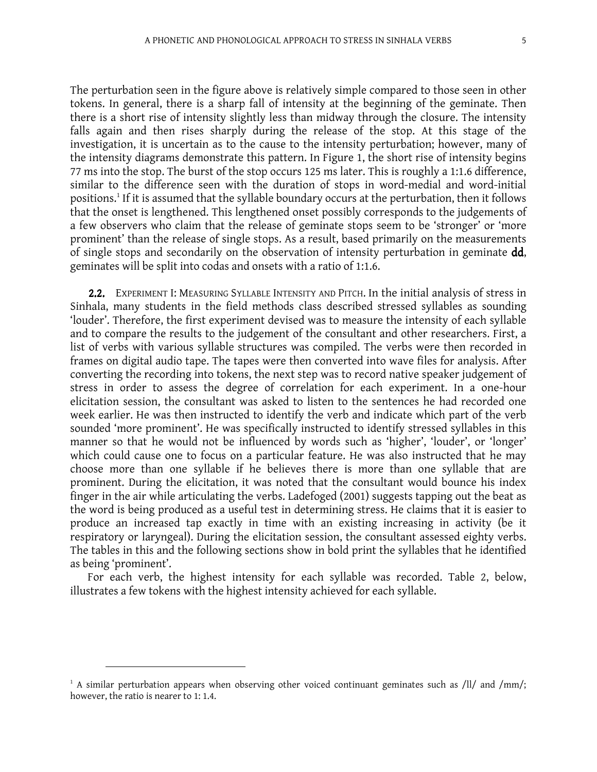The perturbation seen in the figure above is relatively simple compared to those seen in other tokens. In general, there is a sharp fall of intensity at the beginning of the geminate. Then there is a short rise of intensity slightly less than midway through the closure. The intensity falls again and then rises sharply during the release of the stop. At this stage of the investigation, it is uncertain as to the cause to the intensity perturbation; however, many of the intensity diagrams demonstrate this pattern. In Figure 1, the short rise of intensity begins 77 ms into the stop. The burst of the stop occurs 125 ms later. This is roughly a 1:1.6 difference, similar to the difference seen with the duration of stops in word-medial and word-initial positions.<sup>1</sup> If it is assumed that the syllable boundary occurs at the perturbation, then it follows that the onset is lengthened. This lengthened onset possibly corresponds to the judgements of a few observers who claim that the release of geminate stops seem to be 'stronger' or 'more prominent' than the release of single stops. As a result, based primarily on the measurements of single stops and secondarily on the observation of intensity perturbation in geminate dd, geminates will be split into codas and onsets with a ratio of 1:1.6.

2.2. EXPERIMENT I: MEASURING SYLLABLE INTENSITY AND PITCH. In the initial analysis of stress in Sinhala, many students in the field methods class described stressed syllables as sounding 'louder'. Therefore, the first experiment devised was to measure the intensity of each syllable and to compare the results to the judgement of the consultant and other researchers. First, a list of verbs with various syllable structures was compiled. The verbs were then recorded in frames on digital audio tape. The tapes were then converted into wave files for analysis. After converting the recording into tokens, the next step was to record native speaker judgement of stress in order to assess the degree of correlation for each experiment. In a one-hour elicitation session, the consultant was asked to listen to the sentences he had recorded one week earlier. He was then instructed to identify the verb and indicate which part of the verb sounded 'more prominent'. He was specifically instructed to identify stressed syllables in this manner so that he would not be influenced by words such as 'higher', 'louder', or 'longer' which could cause one to focus on a particular feature. He was also instructed that he may choose more than one syllable if he believes there is more than one syllable that are prominent. During the elicitation, it was noted that the consultant would bounce his index finger in the air while articulating the verbs. Ladefoged (2001) suggests tapping out the beat as the word is being produced as a useful test in determining stress. He claims that it is easier to produce an increased tap exactly in time with an existing increasing in activity (be it respiratory or laryngeal). During the elicitation session, the consultant assessed eighty verbs. The tables in this and the following sections show in bold print the syllables that he identified as being 'prominent'.

For each verb, the highest intensity for each syllable was recorded. Table 2, below, illustrates a few tokens with the highest intensity achieved for each syllable.

-

 $1$  A similar perturbation appears when observing other voiced continuant geminates such as /ll/ and /mm/; however, the ratio is nearer to 1: 1.4.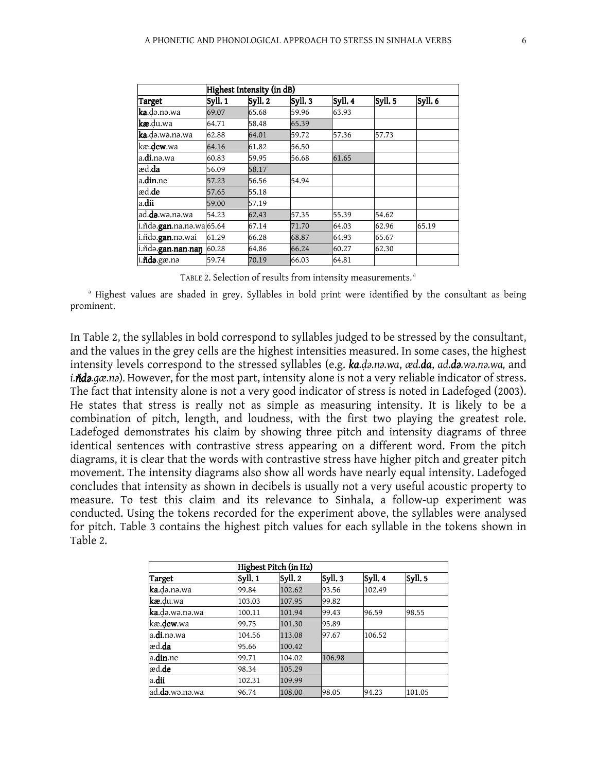|                                   | Highest Intensity (in dB) |         |         |         |         |         |  |  |  |
|-----------------------------------|---------------------------|---------|---------|---------|---------|---------|--|--|--|
| Target                            | Syll. 1                   | Syll. 2 | Syll. 3 | Syll. 4 | Syll. 5 | Syll. 6 |  |  |  |
| <b>ka</b> .də.nə.wa               | 69.07                     | 65.68   | 59.96   | 63.93   |         |         |  |  |  |
| <b>kæ</b> .du.wa                  | 64.71                     | 58.48   | 65.39   |         |         |         |  |  |  |
| <b>ka</b> .də.wə.nə.wa            | 62.88                     | 64.01   | 59.72   | 57.36   | 57.73   |         |  |  |  |
| kæ. <b>dew</b> .wa                | 64.16                     | 61.82   | 56.50   |         |         |         |  |  |  |
| a. <b>di</b> .nə.wa               | 60.83                     | 59.95   | 56.68   | 61.65   |         |         |  |  |  |
| æd. <b>da</b>                     | 56.09                     | 58.17   |         |         |         |         |  |  |  |
| a. <b>din</b> .ne                 | 57.23                     | 56.56   | 54.94   |         |         |         |  |  |  |
| æd. <b>de</b>                     | 57.65                     | 55.18   |         |         |         |         |  |  |  |
| a.dii                             | 59.00                     | 57.19   |         |         |         |         |  |  |  |
| ad. <b>də</b> .wə.nə.wa           | 54.23                     | 62.43   | 57.35   | 55.39   | 54.62   |         |  |  |  |
| i.ňdə. <b>gan</b> .na.nə.wa 65.64 |                           | 67.14   | 71.70   | 64.03   | 62.96   | 65.19   |  |  |  |
| i.ňdə. <b>gan</b> .nə.wai         | 61.29                     | 66.28   | 68.87   | 64.93   | 65.67   |         |  |  |  |
| i.ňdə. <b>gan.nan.naŋ</b>         | 60.28                     | 64.86   | 66.24   | 60.27   | 62.30   |         |  |  |  |
| i. <b>ňdə</b> .gæ.nə              | 59.74                     | 70.19   | 66.03   | 64.81   |         |         |  |  |  |

TABLE 2. Selection of results from intensity measurements.<sup>a</sup>

<sup>a</sup> Highest values are shaded in grey. Syllables in bold print were identified by the consultant as being prominent.

In Table 2, the syllables in bold correspond to syllables judged to be stressed by the consultant, and the values in the grey cells are the highest intensities measured. In some cases, the highest intensity levels correspond to the stressed syllables (e.g. ka.da.na.wa, æd.da, ad.da.wa.na.wa, and i.nda.gæ.na). However, for the most part, intensity alone is not a very reliable indicator of stress. The fact that intensity alone is not a very good indicator of stress is noted in Ladefoged (2003). He states that stress is really not as simple as measuring intensity. It is likely to be a combination of pitch, length, and loudness, with the first two playing the greatest role. Ladefoged demonstrates his claim by showing three pitch and intensity diagrams of three identical sentences with contrastive stress appearing on a different word. From the pitch diagrams, it is clear that the words with contrastive stress have higher pitch and greater pitch movement. The intensity diagrams also show all words have nearly equal intensity. Ladefoged concludes that intensity as shown in decibels is usually not a very useful acoustic property to measure. To test this claim and its relevance to Sinhala, a follow-up experiment was conducted. Using the tokens recorded for the experiment above, the syllables were analysed for pitch. Table 3 contains the highest pitch values for each syllable in the tokens shown in Table 2.

|                         |         | Highest Pitch (in Hz) |         |         |         |
|-------------------------|---------|-----------------------|---------|---------|---------|
| Target                  | Syll. 1 | Syll. 2               | Syll. 3 | Syll. 4 | Syll. 5 |
| ka.də.nə.wa             | 99.84   | 102.62                | 93.56   | 102.49  |         |
| kæ.du.wa                | 103.03  | 107.95                | 99.82   |         |         |
| ka.də.wə.nə.wa          | 100.11  | 101.94                | 99.43   | 96.59   | 98.55   |
| kæ.dew.wa               | 99.75   | 101.30                | 95.89   |         |         |
| a. <b>di</b> .nə.wa     | 104.56  | 113.08                | 97.67   | 106.52  |         |
| æd. <b>da</b>           | 95.66   | 100.42                |         |         |         |
| a.din.ne                | 99.71   | 104.02                | 106.98  |         |         |
| æd. <b>de</b>           | 98.34   | 105.29                |         |         |         |
| a.dii                   | 102.31  | 109.99                |         |         |         |
| ad. <b>də</b> .wə.nə.wa | 96.74   | 108.00                | 98.05   | 94.23   | 101.05  |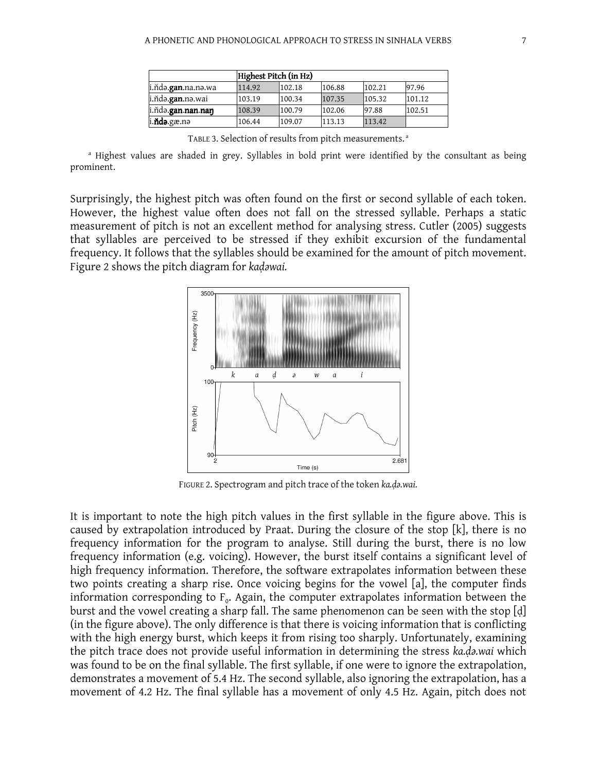|                             | Highest Pitch (in Hz) |        |        |        |        |  |  |
|-----------------------------|-----------------------|--------|--------|--------|--------|--|--|
| i.ňdə. <b>gan</b> .na.nə.wa | 114.92                | 102.18 | 106.88 | 102.21 | 97.96  |  |  |
| i.ňdə. <b>gan</b> .nə.wai   | 103.19                | 100.34 | 107.35 | 105.32 | 101.12 |  |  |
| i.ñda.gan.nan.naŋ           | 108.39                | 100.79 | 102.06 | 97.88  | 102.51 |  |  |
| i. <b>ňdə</b> .gæ.nə        | 106.44                | 109.07 | 113.13 | 113.42 |        |  |  |

| TABLE 3. Selection of results from pitch measurements. <sup>a</sup> |  |
|---------------------------------------------------------------------|--|
|---------------------------------------------------------------------|--|

<sup>a</sup> Highest values are shaded in grey. Syllables in bold print were identified by the consultant as being prominent.

Surprisingly, the highest pitch was often found on the first or second syllable of each token. However, the highest value often does not fall on the stressed syllable. Perhaps a static measurement of pitch is not an excellent method for analysing stress. Cutler (2005) suggests that syllables are perceived to be stressed if they exhibit excursion of the fundamental frequency. It follows that the syllables should be examined for the amount of pitch movement. Figure 2 shows the pitch diagram for kadawai.



FIGURE 2. Spectrogram and pitch trace of the token ka.do.wai.

It is important to note the high pitch values in the first syllable in the figure above. This is caused by extrapolation introduced by Praat. During the closure of the stop [k], there is no frequency information for the program to analyse. Still during the burst, there is no low frequency information (e.g. voicing). However, the burst itself contains a significant level of high frequency information. Therefore, the software extrapolates information between these two points creating a sharp rise. Once voicing begins for the vowel [a], the computer finds information corresponding to  $F_o$ . Again, the computer extrapolates information between the burst and the vowel creating a sharp fall. The same phenomenon can be seen with the stop [ḍ] (in the figure above). The only difference is that there is voicing information that is conflicting with the high energy burst, which keeps it from rising too sharply. Unfortunately, examining the pitch trace does not provide useful information in determining the stress ka.da.wai which was found to be on the final syllable. The first syllable, if one were to ignore the extrapolation, demonstrates a movement of 5.4 Hz. The second syllable, also ignoring the extrapolation, has a movement of 4.2 Hz. The final syllable has a movement of only 4.5 Hz. Again, pitch does not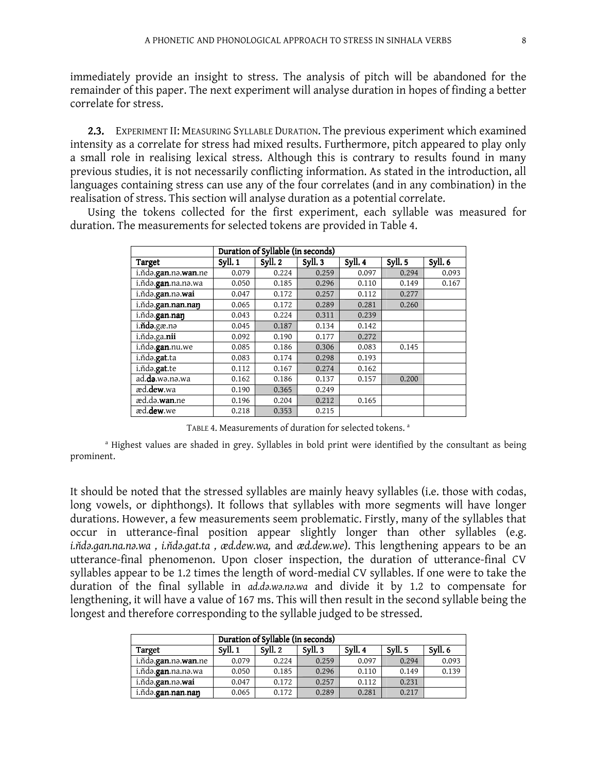immediately provide an insight to stress. The analysis of pitch will be abandoned for the remainder of this paper. The next experiment will analyse duration in hopes of finding a better correlate for stress.

2.3. EXPERIMENT II: MEASURING SYLLABLE DURATION. The previous experiment which examined intensity as a correlate for stress had mixed results. Furthermore, pitch appeared to play only a small role in realising lexical stress. Although this is contrary to results found in many previous studies, it is not necessarily conflicting information. As stated in the introduction, all languages containing stress can use any of the four correlates (and in any combination) in the realisation of stress. This section will analyse duration as a potential correlate.

|                                       |         | Duration of Syllable (in seconds) |         |         |        |         |
|---------------------------------------|---------|-----------------------------------|---------|---------|--------|---------|
| Target                                | Syll. 1 | Syll. 2                           | Syll. 3 | Syll. 4 | Syll.5 | Syll. 6 |
| i.ňdə. <b>gan</b> .nə. <b>wan</b> .ne | 0.079   | 0.224                             | 0.259   | 0.097   | 0.294  | 0.093   |
| i.ňdə.gan.na.nə.wa                    | 0.050   | 0.185                             | 0.296   | 0.110   | 0.149  | 0.167   |
| i.ňda.gan.na.wai                      | 0.047   | 0.172                             | 0.257   | 0.112   | 0.277  |         |
| i.nda.gan.nan.nan                     | 0.065   | 0.172                             | 0.289   | 0.281   | 0.260  |         |
| i.ñda.gan.nan                         | 0.043   | 0.224                             | 0.311   | 0.239   |        |         |
| i. <b>ňdə</b> .gæ.nə                  | 0.045   | 0.187                             | 0.134   | 0.142   |        |         |
| i.ňdə.ga.nii                          | 0.092   | 0.190                             | 0.177   | 0.272   |        |         |
| i.ňdə.gan.nu.we                       | 0.085   | 0.186                             | 0.306   | 0.083   | 0.145  |         |
| i.ňdə.gat.ta                          | 0.083   | 0.174                             | 0.298   | 0.193   |        |         |
| i.nda.gat.te                          | 0.112   | 0.167                             | 0.274   | 0.162   |        |         |
| ad. <b>də</b> .wə.nə.wa               | 0.162   | 0.186                             | 0.137   | 0.157   | 0.200  |         |
| æd.dew.wa                             | 0.190   | 0.365                             | 0.249   |         |        |         |
| æd.də.wan.ne                          | 0.196   | 0.204                             | 0.212   | 0.165   |        |         |
| æd.dew.we                             | 0.218   | 0.353                             | 0.215   |         |        |         |

Using the tokens collected for the first experiment, each syllable was measured for duration. The measurements for selected tokens are provided in Table 4.

TABLE 4. Measurements of duration for selected tokens.<sup>a</sup>

<sup>a</sup> Highest values are shaded in grey. Syllables in bold print were identified by the consultant as being prominent.

It should be noted that the stressed syllables are mainly heavy syllables (i.e. those with codas, long vowels, or diphthongs). It follows that syllables with more segments will have longer durations. However, a few measurements seem problematic. Firstly, many of the syllables that occur in utterance-final position appear slightly longer than other syllables (e.g. i.ñda.gan.na.na.wa, i.ñda.gat.ta, æd.dew.wa, and æd.dew.we). This lengthening appears to be an utterance-final phenomenon. Upon closer inspection, the duration of utterance-final CV syllables appear to be 1.2 times the length of word-medial CV syllables. If one were to take the duration of the final syllable in ad.da.wa.na.wa and divide it by 1.2 to compensate for lengthening, it will have a value of 167 ms. This will then result in the second syllable being the longest and therefore corresponding to the syllable judged to be stressed.

|                                       |         | Duration of Syllable (in seconds) |       |       |       |       |  |  |  |
|---------------------------------------|---------|-----------------------------------|-------|-------|-------|-------|--|--|--|
| Target                                | Svll. 1 | Svll. 6                           |       |       |       |       |  |  |  |
| i.ňdə. <b>gan</b> .nə. <b>wan</b> .ne | 0.079   | 0.224                             | 0.259 | 0.097 | 0.294 | 0.093 |  |  |  |
| i.ňdə. <b>gan</b> .na.nə.wa           | 0.050   | 0.185                             | 0.296 | 0.110 | 0.149 | 0.139 |  |  |  |
| i.ňdə. <b>gan</b> .nə. <b>wai</b>     | 0.047   | 0.172                             | 0.257 | 0.112 | 0.231 |       |  |  |  |
| i.ňdə. <b>gan.nan.naŋ</b>             | 0.065   | 0.172                             | 0.289 | 0.281 | 0.217 |       |  |  |  |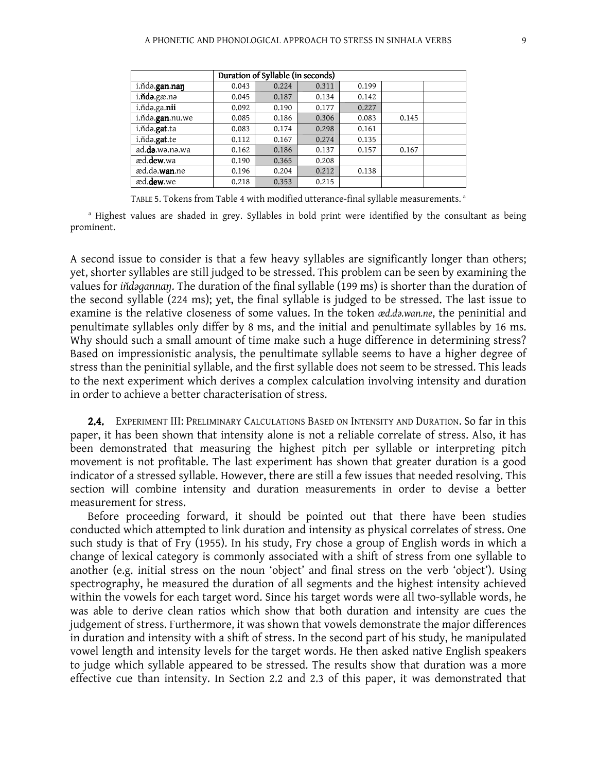|                         | Duration of Syllable (in seconds) |       |       |       |       |  |  |  |
|-------------------------|-----------------------------------|-------|-------|-------|-------|--|--|--|
| i.ñda.gan.nan           | 0.043                             | 0.224 | 0.311 | 0.199 |       |  |  |  |
| $i$ .ñdə.gæ.nə          | 0.045                             | 0.187 | 0.134 | 0.142 |       |  |  |  |
| i.ñdə.ga.nii            | 0.092                             | 0.190 | 0.177 | 0.227 |       |  |  |  |
| i.ñda.gan.nu.we         | 0.085                             | 0.186 | 0.306 | 0.083 | 0.145 |  |  |  |
| i.ňda.gat.ta            | 0.083                             | 0.174 | 0.298 | 0.161 |       |  |  |  |
| i.ňda.gat.te            | 0.112                             | 0.167 | 0.274 | 0.135 |       |  |  |  |
| ad. <b>də</b> .wə.nə.wa | 0.162                             | 0.186 | 0.137 | 0.157 | 0.167 |  |  |  |
| æd.dew.wa               | 0.190                             | 0.365 | 0.208 |       |       |  |  |  |
| æd.də. <b>wan</b> .ne   | 0.196                             | 0.204 | 0.212 | 0.138 |       |  |  |  |
| æd. <b>dew</b> .we      | 0.218                             | 0.353 | 0.215 |       |       |  |  |  |

TABLE 5. Tokens from Table 4 with modified utterance-final syllable measurements.<sup>a</sup>

<sup>a</sup> Highest values are shaded in grey. Syllables in bold print were identified by the consultant as being prominent.

A second issue to consider is that a few heavy syllables are significantly longer than others; yet, shorter syllables are still judged to be stressed. This problem can be seen by examining the values for indagannan. The duration of the final syllable (199 ms) is shorter than the duration of the second syllable (224 ms); yet, the final syllable is judged to be stressed. The last issue to examine is the relative closeness of some values. In the token  $\alpha d.d.\omega.\omega n.n.e.$  the peninitial and penultimate syllables only differ by 8 ms, and the initial and penultimate syllables by 16 ms. Why should such a small amount of time make such a huge difference in determining stress? Based on impressionistic analysis, the penultimate syllable seems to have a higher degree of stress than the peninitial syllable, and the first syllable does not seem to be stressed. This leads to the next experiment which derives a complex calculation involving intensity and duration in order to achieve a better characterisation of stress.

2.4. EXPERIMENT III: PRELIMINARY CALCULATIONS BASED ON INTENSITY AND DURATION. So far in this paper, it has been shown that intensity alone is not a reliable correlate of stress. Also, it has been demonstrated that measuring the highest pitch per syllable or interpreting pitch movement is not profitable. The last experiment has shown that greater duration is a good indicator of a stressed syllable. However, there are still a few issues that needed resolving. This section will combine intensity and duration measurements in order to devise a better measurement for stress.

Before proceeding forward, it should be pointed out that there have been studies conducted which attempted to link duration and intensity as physical correlates of stress. One such study is that of Fry (1955). In his study, Fry chose a group of English words in which a change of lexical category is commonly associated with a shift of stress from one syllable to another (e.g. initial stress on the noun 'object' and final stress on the verb 'object'). Using spectrography, he measured the duration of all segments and the highest intensity achieved within the vowels for each target word. Since his target words were all two-syllable words, he was able to derive clean ratios which show that both duration and intensity are cues the judgement of stress. Furthermore, it was shown that vowels demonstrate the major differences in duration and intensity with a shift of stress. In the second part of his study, he manipulated vowel length and intensity levels for the target words. He then asked native English speakers to judge which syllable appeared to be stressed. The results show that duration was a more effective cue than intensity. In Section 2.2 and 2.3 of this paper, it was demonstrated that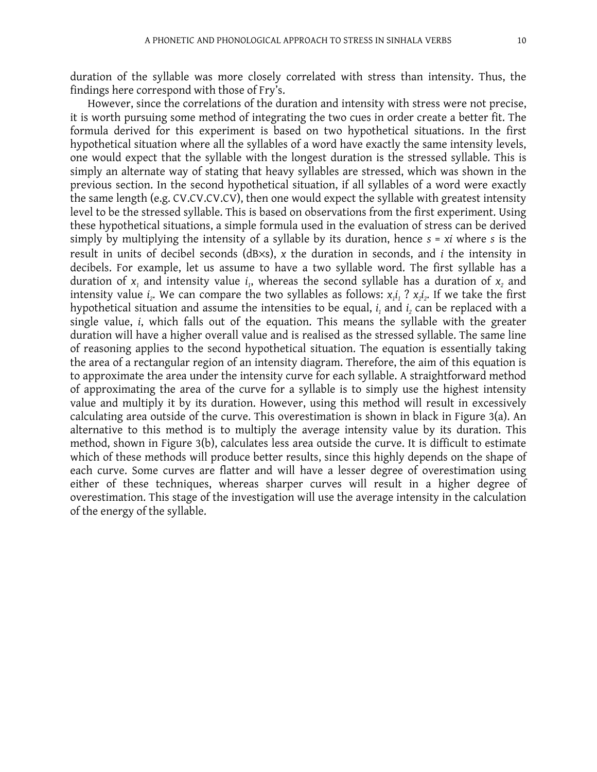duration of the syllable was more closely correlated with stress than intensity. Thus, the findings here correspond with those of Fry's.

However, since the correlations of the duration and intensity with stress were not precise, it is worth pursuing some method of integrating the two cues in order create a better fit. The formula derived for this experiment is based on two hypothetical situations. In the first hypothetical situation where all the syllables of a word have exactly the same intensity levels, one would expect that the syllable with the longest duration is the stressed syllable. This is simply an alternate way of stating that heavy syllables are stressed, which was shown in the previous section. In the second hypothetical situation, if all syllables of a word were exactly the same length (e.g. CV.CV.CV.CV), then one would expect the syllable with greatest intensity level to be the stressed syllable. This is based on observations from the first experiment. Using these hypothetical situations, a simple formula used in the evaluation of stress can be derived simply by multiplying the intensity of a syllable by its duration, hence  $s = xi$  where s is the result in units of decibel seconds (dB×s), x the duration in seconds, and i the intensity in decibels. For example, let us assume to have a two syllable word. The first syllable has a duration of  $x_1$  and intensity value  $i_1$ , whereas the second syllable has a duration of  $x_2$  and intensity value  $i_z$ . We can compare the two syllables as follows:  $x_i i_1$  ?  $x_2 i_2$ . If we take the first hypothetical situation and assume the intensities to be equal,  $i_1$  and  $i_2$  can be replaced with a single value, i, which falls out of the equation. This means the syllable with the greater duration will have a higher overall value and is realised as the stressed syllable. The same line of reasoning applies to the second hypothetical situation. The equation is essentially taking the area of a rectangular region of an intensity diagram. Therefore, the aim of this equation is to approximate the area under the intensity curve for each syllable. A straightforward method of approximating the area of the curve for a syllable is to simply use the highest intensity value and multiply it by its duration. However, using this method will result in excessively calculating area outside of the curve. This overestimation is shown in black in Figure 3(a). An alternative to this method is to multiply the average intensity value by its duration. This method, shown in Figure 3(b), calculates less area outside the curve. It is difficult to estimate which of these methods will produce better results, since this highly depends on the shape of each curve. Some curves are flatter and will have a lesser degree of overestimation using either of these techniques, whereas sharper curves will result in a higher degree of overestimation. This stage of the investigation will use the average intensity in the calculation of the energy of the syllable.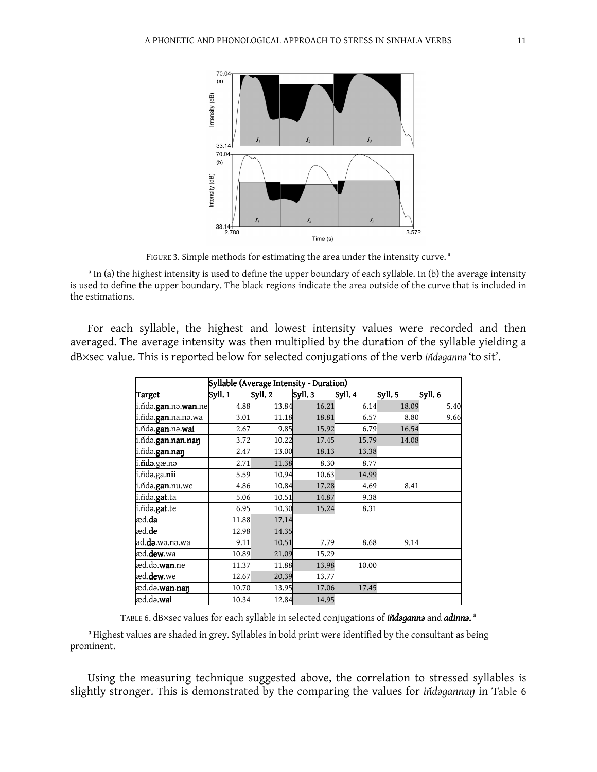

FIGURE 3. Simple methods for estimating the area under the intensity curve.<sup>a</sup>

<sup>a</sup> In (a) the highest intensity is used to define the upper boundary of each syllable. In (b) the average intensity is used to define the upper boundary. The black regions indicate the area outside of the curve that is included in the estimations.

For each syllable, the highest and lowest intensity values were recorded and then averaged. The average intensity was then multiplied by the duration of the syllable yielding a dB×sec value. This is reported below for selected conjugations of the verb indaganna 'to sit'.

|                             | Syllable (Average Intensity - Duration) |         |         |         |         |         |
|-----------------------------|-----------------------------------------|---------|---------|---------|---------|---------|
| Target                      | Svll. 1                                 | Syll. 2 | Syll. 3 | Syll. 4 | Syll. 5 | Syll. 6 |
| i.ňdə.gan.nə.wan.ne         | 4.88                                    | 13.84   | 16.21   | 6.14    | 18.09   | 5.40    |
| i.ňdə. <b>gan</b> .na.nə.wa | 3.01                                    | 11.18   | 18.81   | 6.57    | 8.80    | 9.66    |
| i.ňdə.gan.nə.wai            | 2.67                                    | 9.85    | 15.92   | 6.79    | 16.54   |         |
| i.ňdə.gan.nan.nan           | 3.72                                    | 10.22   | 17.45   | 15.79   | 14.08   |         |
| i.ñdə.gan.nan               | 2.47                                    | 13.00   | 18.13   | 13.38   |         |         |
| i. <b>ňdə</b> .gæ.nə        | 2.71                                    | 11.38   | 8.30    | 8.77    |         |         |
| i.ňdə.ga. <b>nii</b>        | 5.59                                    | 10.94   | 10.63   | 14.99   |         |         |
| i.ňda.gan.nu.we             | 4.86                                    | 10.84   | 17.28   | 4.69    | 8.41    |         |
| i.ňdə.gat.ta                | 5.06                                    | 10.51   | 14.87   | 9.38    |         |         |
| i.ňda.gat.te                | 6.95                                    | 10.30   | 15.24   | 8.31    |         |         |
| æd. <b>da</b>               | 11.88                                   | 17.14   |         |         |         |         |
| æd. <b>de</b>               | 12.98                                   | 14.35   |         |         |         |         |
| ad.də.wə.nə.wa              | 9.11                                    | 10.51   | 7.79    | 8.68    | 9.14    |         |
| æd. <b>dew</b> .wa          | 10.89                                   | 21.09   | 15.29   |         |         |         |
| æd.də. <b>wan</b> .ne       | 11.37                                   | 11.88   | 13.98   | 10.00   |         |         |
| æd. <b>dew</b> .we          | 12.67                                   | 20.39   | 13.77   |         |         |         |
| æd.də. <b>wan.naŋ</b>       | 10.70                                   | 13.95   | 17.06   | 17.45   |         |         |
| æd.də. <b>wai</b>           | 10.34                                   | 12.84   | 14.95   |         |         |         |

TABLE 6. dB×sec values for each syllable in selected conjugations of **iňdaganna** and **adinna.** <sup>a</sup>

<sup>a</sup> Highest values are shaded in grey. Syllables in bold print were identified by the consultant as being prominent.

Using the measuring technique suggested above, the correlation to stressed syllables is slightly stronger. This is demonstrated by the comparing the values for indagannan in Table 6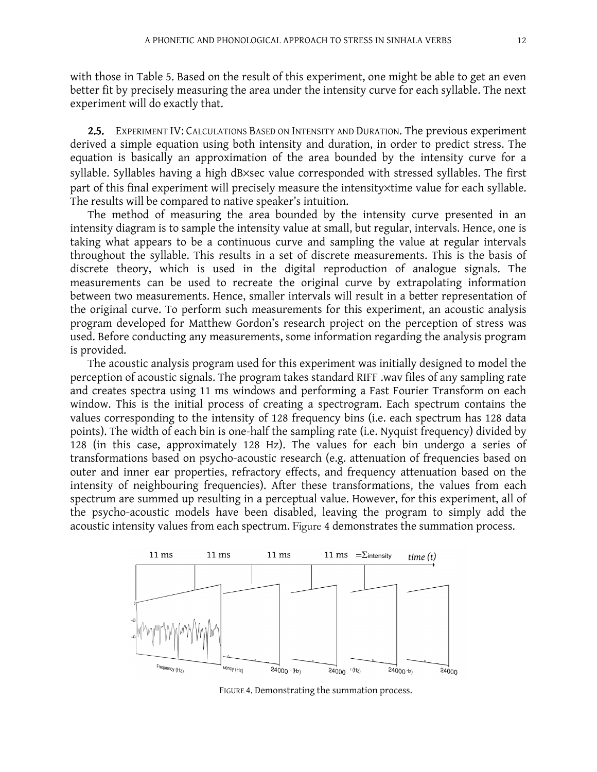with those in Table 5. Based on the result of this experiment, one might be able to get an even better fit by precisely measuring the area under the intensity curve for each syllable. The next experiment will do exactly that.

2.5. EXPERIMENT IV: CALCULATIONS BASED ON INTENSITY AND DURATION. The previous experiment derived a simple equation using both intensity and duration, in order to predict stress. The equation is basically an approximation of the area bounded by the intensity curve for a syllable. Syllables having a high dB×sec value corresponded with stressed syllables. The first part of this final experiment will precisely measure the intensity×time value for each syllable. The results will be compared to native speaker's intuition.

The method of measuring the area bounded by the intensity curve presented in an intensity diagram is to sample the intensity value at small, but regular, intervals. Hence, one is taking what appears to be a continuous curve and sampling the value at regular intervals throughout the syllable. This results in a set of discrete measurements. This is the basis of discrete theory, which is used in the digital reproduction of analogue signals. The measurements can be used to recreate the original curve by extrapolating information between two measurements. Hence, smaller intervals will result in a better representation of the original curve. To perform such measurements for this experiment, an acoustic analysis program developed for Matthew Gordon's research project on the perception of stress was used. Before conducting any measurements, some information regarding the analysis program is provided.

The acoustic analysis program used for this experiment was initially designed to model the perception of acoustic signals. The program takes standard RIFF .wav files of any sampling rate and creates spectra using 11 ms windows and performing a Fast Fourier Transform on each window. This is the initial process of creating a spectrogram. Each spectrum contains the values corresponding to the intensity of 128 frequency bins (i.e. each spectrum has 128 data points). The width of each bin is one-half the sampling rate (i.e. Nyquist frequency) divided by 128 (in this case, approximately 128 Hz). The values for each bin undergo a series of transformations based on psycho-acoustic research (e.g. attenuation of frequencies based on outer and inner ear properties, refractory effects, and frequency attenuation based on the intensity of neighbouring frequencies). After these transformations, the values from each spectrum are summed up resulting in a perceptual value. However, for this experiment, all of the psycho-acoustic models have been disabled, leaving the program to simply add the acoustic intensity values from each spectrum. Figure 4 demonstrates the summation process.



FIGURE 4. Demonstrating the summation process.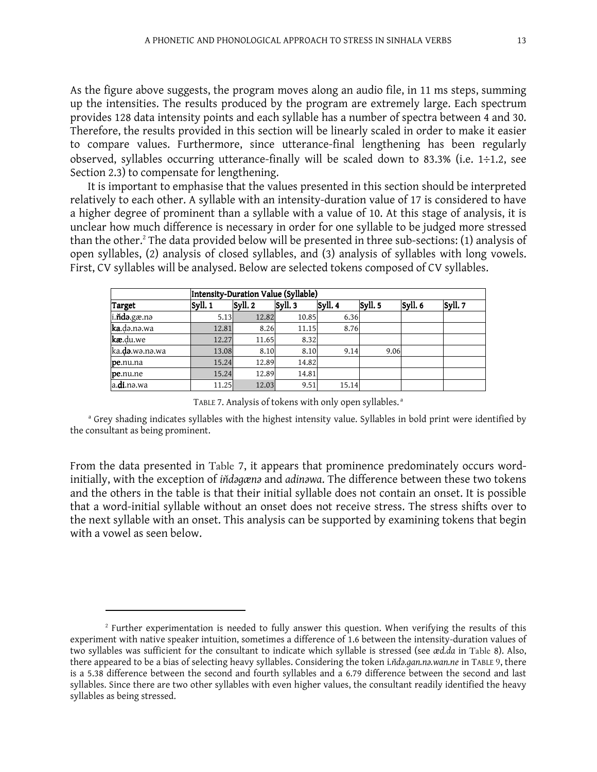As the figure above suggests, the program moves along an audio file, in 11 ms steps, summing up the intensities. The results produced by the program are extremely large. Each spectrum provides 128 data intensity points and each syllable has a number of spectra between 4 and 30. Therefore, the results provided in this section will be linearly scaled in order to make it easier to compare values. Furthermore, since utterance-final lengthening has been regularly observed, syllables occurring utterance-finally will be scaled down to 83.3% (i.e. 1÷1.2, see Section 2.3) to compensate for lengthening.

It is important to emphasise that the values presented in this section should be interpreted relatively to each other. A syllable with an intensity-duration value of 17 is considered to have a higher degree of prominent than a syllable with a value of 10. At this stage of analysis, it is unclear how much difference is necessary in order for one syllable to be judged more stressed than the other.<sup>2</sup> The data provided below will be presented in three sub-sections: (1) analysis of open syllables, (2) analysis of closed syllables, and (3) analysis of syllables with long vowels. First, CV syllables will be analysed. Below are selected tokens composed of CV syllables.

|                     | Intensity-Duration Value (Syllable) |         |        |         |         |         |         |  |  |  |  |
|---------------------|-------------------------------------|---------|--------|---------|---------|---------|---------|--|--|--|--|
| Target              | Syll. 1                             | Syll. 2 | Syll.3 | Syll. 4 | Syll. 5 | Syll. 6 | Syll. 7 |  |  |  |  |
| i.ňdə.gæ.nə         | 5.13                                | 12.82   | 10.85  | 6.36    |         |         |         |  |  |  |  |
| ka.də.nə.wa         | 12.81                               | 8.26    | 11.15  | 8.76    |         |         |         |  |  |  |  |
| kæ.du.we            | 12.27                               | 11.65   | 8.32   |         |         |         |         |  |  |  |  |
| ka.da.wa.na.wa      | 13.08                               | 8.10    | 8.10   | 9.14    | 9.06    |         |         |  |  |  |  |
| pe.nu.na            | 15.24                               | 12.89   | 14.82  |         |         |         |         |  |  |  |  |
| pe.nu.ne            | 15.24                               | 12.89   | 14.81  |         |         |         |         |  |  |  |  |
| a. <b>di</b> .nə.wa | 11.25                               | 12.03   | 9.51   | 15.14   |         |         |         |  |  |  |  |

TABLE 7. Analysis of tokens with only open syllables.<sup>a</sup>

<sup>a</sup> Grey shading indicates syllables with the highest intensity value. Syllables in bold print were identified by the consultant as being prominent.

From the data presented in Table 7, it appears that prominence predominately occurs wordinitially, with the exception of indagæna and adinawa. The difference between these two tokens and the others in the table is that their initial syllable does not contain an onset. It is possible that a word-initial syllable without an onset does not receive stress. The stress shifts over to the next syllable with an onset. This analysis can be supported by examining tokens that begin with a vowel as seen below.

l

<sup>&</sup>lt;sup>2</sup> Further experimentation is needed to fully answer this question. When verifying the results of this experiment with native speaker intuition, sometimes a difference of 1.6 between the intensity-duration values of two syllables was sufficient for the consultant to indicate which syllable is stressed (see æd.da in Table 8). Also, there appeared to be a bias of selecting heavy syllables. Considering the token i.nda.gan.na.wan.ne in TABLE 9, there is a 5.38 difference between the second and fourth syllables and a 6.79 difference between the second and last syllables. Since there are two other syllables with even higher values, the consultant readily identified the heavy syllables as being stressed.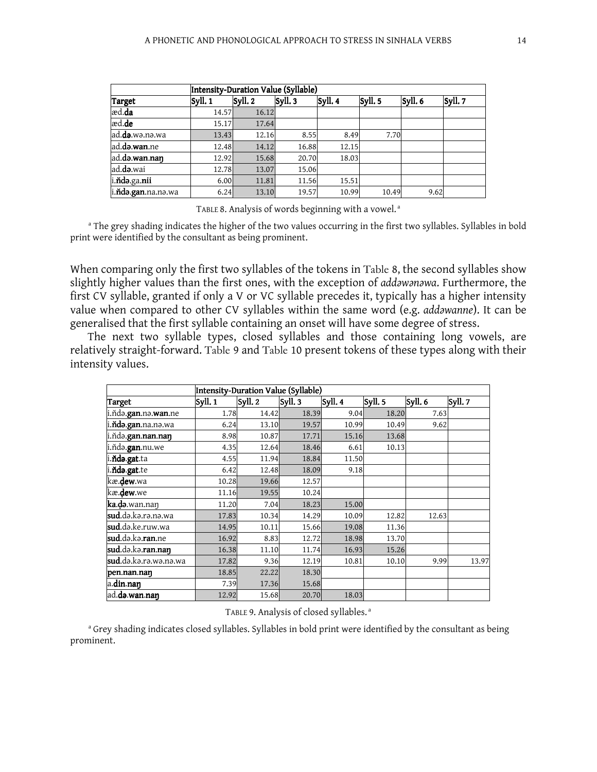|                    |         | Intensity-Duration Value (Syllable) |        |         |         |         |         |  |  |  |
|--------------------|---------|-------------------------------------|--------|---------|---------|---------|---------|--|--|--|
| Target             | Syll. 1 | Syll. 2                             | Syll.3 | Syll. 4 | Syll. 5 | Syll. 6 | Syll. 7 |  |  |  |
| æd.da              | 14.57   | 16.12                               |        |         |         |         |         |  |  |  |
| æd.de              | 15.17   | 17.64                               |        |         |         |         |         |  |  |  |
| ad.da.wa.na.wa     | 13.43   | 12.16                               | 8.55   | 8.49    | 7.70    |         |         |  |  |  |
| ad.da.wan.ne       | 12.48   | 14.12                               | 16.88  | 12.15   |         |         |         |  |  |  |
| ad.da.wan.nan      | 12.92   | 15.68                               | 20.70  | 18.03   |         |         |         |  |  |  |
| ad.da.wai          | 12.78   | 13.07                               | 15.06  |         |         |         |         |  |  |  |
| i.ňdə.ga.nii       | 6.00    | 11.81                               | 11.56  | 15.51   |         |         |         |  |  |  |
| i.ňda.gan.na.na.wa | 6.24    | 13.10                               | 19.57  | 10.99   | 10.49   | 9.62    |         |  |  |  |

TABLE 8. Analysis of words beginning with a vowel.<sup>a</sup>

<sup>a</sup> The grey shading indicates the higher of the two values occurring in the first two syllables. Syllables in bold print were identified by the consultant as being prominent.

When comparing only the first two syllables of the tokens in Table 8, the second syllables show slightly higher values than the first ones, with the exception of addawanawa. Furthermore, the first CV syllable, granted if only a V or VC syllable precedes it, typically has a higher intensity value when compared to other CV syllables within the same word (e.g. addawanne). It can be generalised that the first syllable containing an onset will have some degree of stress.

The next two syllable types, closed syllables and those containing long vowels, are relatively straight-forward. Table 9 and Table 10 present tokens of these types along with their intensity values.

|                                       |         | Intensity-Duration Value (Syllable) |         |        |         |         |         |  |
|---------------------------------------|---------|-------------------------------------|---------|--------|---------|---------|---------|--|
| Target                                | Syll. 1 | Syll. 2                             | Syll. 3 | Syll.4 | Syll. 5 | Syll. 6 | Syll. 7 |  |
| i.ňdə. <b>gan</b> .nə. <b>wan</b> .ne | 1.78    | 14.42                               | 18.39   | 9.04   | 18.20   | 7.63    |         |  |
| i. <b>ňdə.gan.</b> na.nə.wa           | 6.24    | 13.10                               | 19.57   | 10.99  | 10.49   | 9.62    |         |  |
| i.ňdə.gan.nan.naŋ                     | 8.98    | 10.87                               | 17.71   | 15.16  | 13.68   |         |         |  |
| i.ňdə. <b>gan</b> .nu.we              | 4.35    | 12.64                               | 18.46   | 6.61   | 10.13   |         |         |  |
| i.ňda.gat.ta                          | 4.55    | 11.94                               | 18.84   | 11.50  |         |         |         |  |
| i.ňda.gat.te                          | 6.42    | 12.48                               | 18.09   | 9.18   |         |         |         |  |
| kæ.dew.wa                             | 10.28   | 19.66                               | 12.57   |        |         |         |         |  |
| kæ.dew.we                             | 11.16   | 19.55                               | 10.24   |        |         |         |         |  |
| ka.də.wan.nan                         | 11.20   | 7.04                                | 18.23   | 15.00  |         |         |         |  |
| <b>sud.</b> də.kə.rə.nə.wa            | 17.83   | 10.34                               | 14.29   | 10.09  | 12.82   | 12.63   |         |  |
| <b>sud.</b> də.ke.ruw.wa              | 14.95   | 10.11                               | 15.66   | 19.08  | 11.36   |         |         |  |
| sud.də.kə. <b>ran</b> .ne             | 16.92   | 8.83                                | 12.72   | 18.98  | 13.70   |         |         |  |
| sud.da.ka.ran.nan                     | 16.38   | 11.10                               | 11.74   | 16.93  | 15.26   |         |         |  |
| sud.də.kə.rə.wə.nə.wa                 | 17.82   | 9.36                                | 12.19   | 10.81  | 10.10   | 9.99    | 13.97   |  |
| pen.nan.nan                           | 18.85   | 22.22                               | 18.30   |        |         |         |         |  |
| a.din.nan                             | 7.39    | 17.36                               | 15.68   |        |         |         |         |  |
| ad.də.wan.nan                         | 12.92   | 15.68                               | 20.70   | 18.03  |         |         |         |  |

TABLE 9. Analysis of closed syllables.<sup>a</sup>

<sup>a</sup> Grey shading indicates closed syllables. Syllables in bold print were identified by the consultant as being prominent.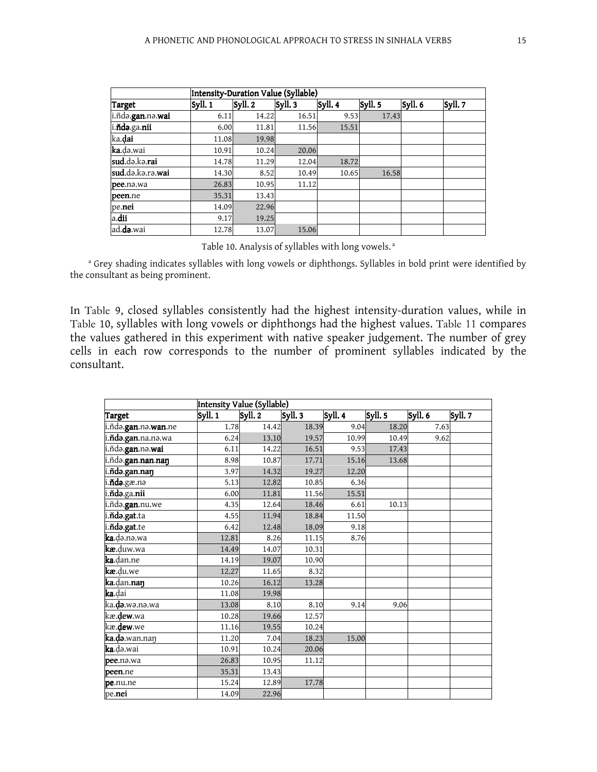| Intensity-Duration Value (Syllable) |         |         |         |         |         |         |         |
|-------------------------------------|---------|---------|---------|---------|---------|---------|---------|
| <b>Target</b>                       | Syll. 1 | Syll. 2 | Syll. 3 | Syll. 4 | Syll. 5 | Syll. 6 | Syll. 7 |
| i.ňdə.gan.nə.wai                    | 6.11    | 14.22   | 16.51   | 9.53    | 17.43   |         |         |
| i.ňdə.ga.nii                        | 6.00    | 11.81   | 11.56   | 15.51   |         |         |         |
| ka. <b>dai</b>                      | 11.08   | 19.98   |         |         |         |         |         |
| <b>ka</b> .də.wai                   | 10.91   | 10.24   | 20.06   |         |         |         |         |
| sud.da.ka.rai                       | 14.78   | 11.29   | 12.04   | 18.72   |         |         |         |
| sud.da.ka.ra.wai                    | 14.30   | 8.52    | 10.49   | 10.65   | 16.58   |         |         |
| pee.na.wa                           | 26.83   | 10.95   | 11.12   |         |         |         |         |
| peen.ne                             | 35.31   | 13.43   |         |         |         |         |         |
| pe.nei                              | 14.09   | 22.96   |         |         |         |         |         |
| a.dii                               | 9.17    | 19.25   |         |         |         |         |         |
| ad.da.wai                           | 12.78   | 13.07   | 15.06   |         |         |         |         |

Table 10. Analysis of syllables with long vowels.<sup>a</sup>

<sup>a</sup> Grey shading indicates syllables with long vowels or diphthongs. Syllables in bold print were identified by the consultant as being prominent.

In Table 9, closed syllables consistently had the highest intensity-duration values, while in Table 10, syllables with long vowels or diphthongs had the highest values. Table 11 compares the values gathered in this experiment with native speaker judgement. The number of grey cells in each row corresponds to the number of prominent syllables indicated by the consultant.

|                                   | Intensity Value (Syllable) |         |         |         |         |         |         |
|-----------------------------------|----------------------------|---------|---------|---------|---------|---------|---------|
| <b>Target</b>                     | Syll. 1                    | Syll. 2 | Syll. 3 | Syll. 4 | Syll. 5 | Syll. 6 | Syll. 7 |
| i.ňdə.gan.nə.wan.ne               | 1.78                       | 14.42   | 18.39   | 9.04    | 18.20   | 7.63    |         |
| i. <b>ňdə.gan.</b> na.nə.wa       | 6.24                       | 13.10   | 19.57   | 10.99   | 10.49   | 9.62    |         |
| i.ňdə. <b>gan</b> .nə. <b>wai</b> | 6.11                       | 14.22   | 16.51   | 9.53    | 17.43   |         |         |
| i.ňdə.gan.nan.nan                 | 8.98                       | 10.87   | 17.71   | 15.16   | 13.68   |         |         |
| i.ňda.gan.naŋ                     | 3.97                       | 14.32   | 19.27   | 12.20   |         |         |         |
| i. <b>ňda</b> .gæ.na              | 5.13                       | 12.82   | 10.85   | 6.36    |         |         |         |
| i. <b>ňdə</b> .ga.nii             | 6.00                       | 11.81   | 11.56   | 15.51   |         |         |         |
| i.ňdə. <b>gan</b> .nu.we          | 4.35                       | 12.64   | 18.46   | 6.61    | 10.13   |         |         |
| i.nda.gat.ta                      | 4.55                       | 11.94   | 18.84   | 11.50   |         |         |         |
| i.nda.gat.te                      | 6.42                       | 12.48   | 18.09   | 9.18    |         |         |         |
| <b>ka</b> .ḍə.nə.wa               | 12.81                      | 8.26    | 11.15   | 8.76    |         |         |         |
| <b>kæ</b> .duw.wa                 | 14.49                      | 14.07   | 10.31   |         |         |         |         |
| <b>ka</b> .dan.ne                 | 14.19                      | 19.07   | 10.90   |         |         |         |         |
| <b>kæ</b> .du.we                  | 12.27                      | 11.65   | 8.32    |         |         |         |         |
| ka.dan.nan                        | 10.26                      | 16.12   | 13.28   |         |         |         |         |
| ka.dai                            | 11.08                      | 19.98   |         |         |         |         |         |
| ka. <b>də</b> .wə.nə.wa           | 13.08                      | 8.10    | 8.10    | 9.14    | 9.06    |         |         |
| kæ. <b>dew</b> .wa                | 10.28                      | 19.66   | 12.57   |         |         |         |         |
| kæ. <b>dew</b> .we                | 11.16                      | 19.55   | 10.24   |         |         |         |         |
| ka.də.wan.nan                     | 11.20                      | 7.04    | 18.23   | 15.00   |         |         |         |
| <b>ka</b> .də.wai                 | 10.91                      | 10.24   | 20.06   |         |         |         |         |
| pee.na.wa                         | 26.83                      | 10.95   | 11.12   |         |         |         |         |
| peen.ne                           | 35.31                      | 13.43   |         |         |         |         |         |
| pe.nu.ne                          | 15.24                      | 12.89   | 17.78   |         |         |         |         |
| pe.nei                            | 14.09                      | 22.96   |         |         |         |         |         |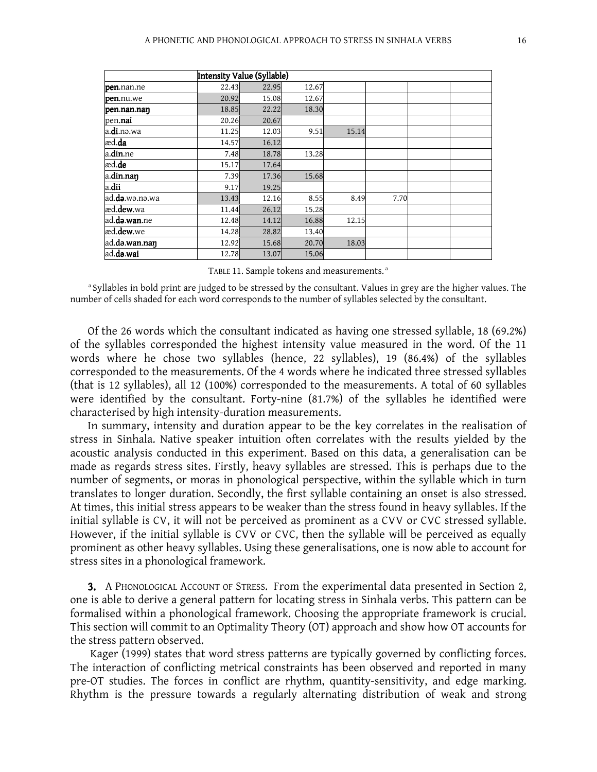|                       | Intensity Value (Syllable) |       |       |       |      |  |
|-----------------------|----------------------------|-------|-------|-------|------|--|
| pen.nan.ne            | 22.43                      | 22.95 | 12.67 |       |      |  |
| pen.nu.we             | 20.92                      | 15.08 | 12.67 |       |      |  |
| pen.nan.nan           | 18.85                      | 22.22 | 18.30 |       |      |  |
| pen. <b>nai</b>       | 20.26                      | 20.67 |       |       |      |  |
| a. <b>di</b> .nə.wa   | 11.25                      | 12.03 | 9.51  | 15.14 |      |  |
| æd. <b>da</b>         | 14.57                      | 16.12 |       |       |      |  |
| a.din.ne              | 7.48                       | 18.78 | 13.28 |       |      |  |
| æd.de                 | 15.17                      | 17.64 |       |       |      |  |
| a.din.naŋ             | 7.39                       | 17.36 | 15.68 |       |      |  |
| a.dii                 | 9.17                       | 19.25 |       |       |      |  |
| ad.da.wə.nə.wa        | 13.43                      | 12.16 | 8.55  | 8.49  | 7.70 |  |
| læd. <b>dew</b> .wa   | 11.44                      | 26.12 | 15.28 |       |      |  |
| ad. <b>də.wan.</b> ne | 12.48                      | 14.12 | 16.88 | 12.15 |      |  |
| læd. <b>dew</b> .we   | 14.28                      | 28.82 | 13.40 |       |      |  |
| ad.də.wan.nan         | 12.92                      | 15.68 | 20.70 | 18.03 |      |  |
| ad.də.wai             | 12.78                      | 13.07 | 15.06 |       |      |  |

| TABLE 11. Sample tokens and measurements. <sup>a</sup> |  |  |
|--------------------------------------------------------|--|--|
|--------------------------------------------------------|--|--|

<sup>a</sup> Syllables in bold print are judged to be stressed by the consultant. Values in grey are the higher values. The number of cells shaded for each word corresponds to the number of syllables selected by the consultant.

Of the 26 words which the consultant indicated as having one stressed syllable, 18 (69.2%) of the syllables corresponded the highest intensity value measured in the word. Of the 11 words where he chose two syllables (hence, 22 syllables), 19 (86.4%) of the syllables corresponded to the measurements. Of the 4 words where he indicated three stressed syllables (that is 12 syllables), all 12 (100%) corresponded to the measurements. A total of 60 syllables were identified by the consultant. Forty-nine (81.7%) of the syllables he identified were characterised by high intensity-duration measurements.

In summary, intensity and duration appear to be the key correlates in the realisation of stress in Sinhala. Native speaker intuition often correlates with the results yielded by the acoustic analysis conducted in this experiment. Based on this data, a generalisation can be made as regards stress sites. Firstly, heavy syllables are stressed. This is perhaps due to the number of segments, or moras in phonological perspective, within the syllable which in turn translates to longer duration. Secondly, the first syllable containing an onset is also stressed. At times, this initial stress appears to be weaker than the stress found in heavy syllables. If the initial syllable is CV, it will not be perceived as prominent as a CVV or CVC stressed syllable. However, if the initial syllable is CVV or CVC, then the syllable will be perceived as equally prominent as other heavy syllables. Using these generalisations, one is now able to account for stress sites in a phonological framework.

3. A PHONOLOGICAL ACCOUNT OF STRESS. From the experimental data presented in Section 2, one is able to derive a general pattern for locating stress in Sinhala verbs. This pattern can be formalised within a phonological framework. Choosing the appropriate framework is crucial. This section will commit to an Optimality Theory (OT) approach and show how OT accounts for the stress pattern observed.

 Kager (1999) states that word stress patterns are typically governed by conflicting forces. The interaction of conflicting metrical constraints has been observed and reported in many pre-OT studies. The forces in conflict are rhythm, quantity-sensitivity, and edge marking. Rhythm is the pressure towards a regularly alternating distribution of weak and strong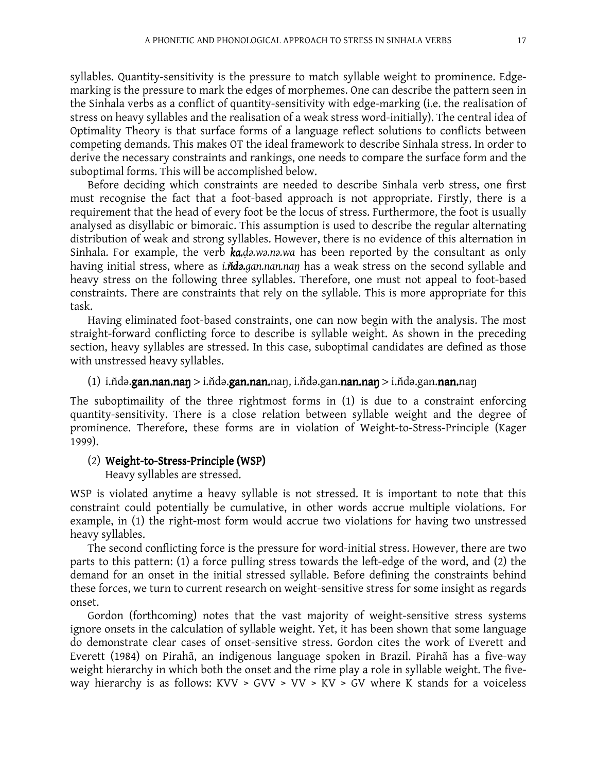syllables. Quantity-sensitivity is the pressure to match syllable weight to prominence. Edgemarking is the pressure to mark the edges of morphemes. One can describe the pattern seen in the Sinhala verbs as a conflict of quantity-sensitivity with edge-marking (i.e. the realisation of stress on heavy syllables and the realisation of a weak stress word-initially). The central idea of Optimality Theory is that surface forms of a language reflect solutions to conflicts between competing demands. This makes OT the ideal framework to describe Sinhala stress. In order to derive the necessary constraints and rankings, one needs to compare the surface form and the suboptimal forms. This will be accomplished below.

Before deciding which constraints are needed to describe Sinhala verb stress, one first must recognise the fact that a foot-based approach is not appropriate. Firstly, there is a requirement that the head of every foot be the locus of stress. Furthermore, the foot is usually analysed as disyllabic or bimoraic. This assumption is used to describe the regular alternating distribution of weak and strong syllables. However, there is no evidence of this alternation in Sinhala. For example, the verb  $k$ a.da.wa.na.wa has been reported by the consultant as only having initial stress, where as *i.n*ida.gan.nan.nan has a weak stress on the second syllable and heavy stress on the following three syllables. Therefore, one must not appeal to foot-based constraints. There are constraints that rely on the syllable. This is more appropriate for this task.

Having eliminated foot-based constraints, one can now begin with the analysis. The most straight-forward conflicting force to describe is syllable weight. As shown in the preceding section, heavy syllables are stressed. In this case, suboptimal candidates are defined as those with unstressed heavy syllables.

### (1) i.n̆dǝ.gan.nan.naŋ > i.ňdǝ.gan.nan.naŋ, i.ňdǝ.gan.nan.naŋ > i.ňdǝ.gan.nan.naŋ

The suboptimaility of the three rightmost forms in (1) is due to a constraint enforcing quantity-sensitivity. There is a close relation between syllable weight and the degree of prominence. Therefore, these forms are in violation of Weight-to-Stress-Principle (Kager 1999).

# (2) Weight-to-Stress-Principle (WSP)

Heavy syllables are stressed.

WSP is violated anytime a heavy syllable is not stressed. It is important to note that this constraint could potentially be cumulative, in other words accrue multiple violations. For example, in (1) the right-most form would accrue two violations for having two unstressed heavy syllables.

The second conflicting force is the pressure for word-initial stress. However, there are two parts to this pattern: (1) a force pulling stress towards the left-edge of the word, and (2) the demand for an onset in the initial stressed syllable. Before defining the constraints behind these forces, we turn to current research on weight-sensitive stress for some insight as regards onset.

Gordon (forthcoming) notes that the vast majority of weight-sensitive stress systems ignore onsets in the calculation of syllable weight. Yet, it has been shown that some language do demonstrate clear cases of onset-sensitive stress. Gordon cites the work of Everett and Everett (1984) on Pirahã, an indigenous language spoken in Brazil. Pirahã has a five-way weight hierarchy in which both the onset and the rime play a role in syllable weight. The fiveway hierarchy is as follows: KVV > GVV > VV > KV > GV where K stands for a voiceless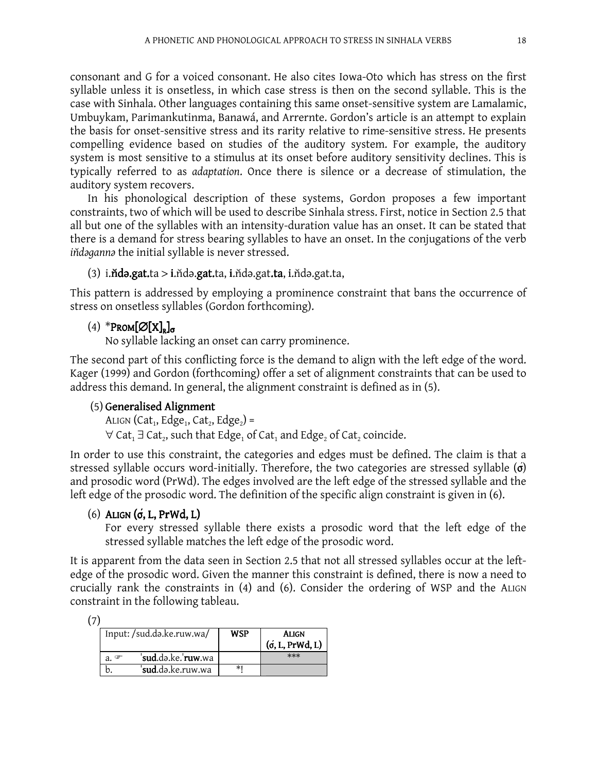consonant and G for a voiced consonant. He also cites Iowa-Oto which has stress on the first syllable unless it is onsetless, in which case stress is then on the second syllable. This is the case with Sinhala. Other languages containing this same onset-sensitive system are Lamalamic, Umbuykam, Parimankutinma, Banawá, and Arrernte. Gordon's article is an attempt to explain the basis for onset-sensitive stress and its rarity relative to rime-sensitive stress. He presents compelling evidence based on studies of the auditory system. For example, the auditory system is most sensitive to a stimulus at its onset before auditory sensitivity declines. This is typically referred to as adaptation. Once there is silence or a decrease of stimulation, the auditory system recovers.

In his phonological description of these systems, Gordon proposes a few important constraints, two of which will be used to describe Sinhala stress. First, notice in Section 2.5 that all but one of the syllables with an intensity-duration value has an onset. It can be stated that there is a demand for stress bearing syllables to have an onset. In the conjugations of the verb indaganna the initial syllable is never stressed.

```
(3) i.ñdǝ.gat.ta > i.n̆dǝ.gat.ta, i.ňdǝ.gat.ta, i.ňdǝ.gat.ta,
```
This pattern is addressed by employing a prominence constraint that bans the occurrence of stress on onsetless syllables (Gordon forthcoming).

# $(4)$  \*Prom $\left[\emptyset\right]$  $X$ <sub> $\sigma$ </sub>

No syllable lacking an onset can carry prominence.

The second part of this conflicting force is the demand to align with the left edge of the word. Kager (1999) and Gordon (forthcoming) offer a set of alignment constraints that can be used to address this demand. In general, the alignment constraint is defined as in (5).

# $(5)$  Generalised Alignment

ALIGN (Cat<sub>1</sub>, Edge<sub>1</sub>, Cat<sub>2</sub>, Edge<sub>2</sub>) =

 $\forall$  Cat<sub>1</sub>  $\exists$  Cat<sub>2</sub>, such that Edge<sub>1</sub> of Cat<sub>1</sub> and Edge<sub>2</sub> of Cat<sub>2</sub> coincide.

In order to use this constraint, the categories and edges must be defined. The claim is that a stressed syllable occurs word-initially. Therefore, the two categories are stressed syllable  $\sigma$ ) and prosodic word (PrWd). The edges involved are the left edge of the stressed syllable and the left edge of the prosodic word. The definition of the specific align constraint is given in (6).

# (6) ALIGN  $(σ, L, PrWd, L)$

For every stressed syllable there exists a prosodic word that the left edge of the stressed syllable matches the left edge of the prosodic word.

It is apparent from the data seen in Section 2.5 that not all stressed syllables occur at the leftedge of the prosodic word. Given the manner this constraint is defined, there is now a need to crucially rank the constraints in (4) and (6). Consider the ordering of WSP and the ALIGN constraint in the following tableau.

| × |  |
|---|--|

| Input:/sud.də.ke.ruw.wa/              | <b>WSP</b> | Align<br>$($ o, L, PrWd, L) |
|---------------------------------------|------------|-----------------------------|
| sud.də.ke.'ruw.wa<br>a. $\mathcal{F}$ |            | $***$                       |
| ' <b>sud.</b> də.ke.ruw.wa            | ∗∣         |                             |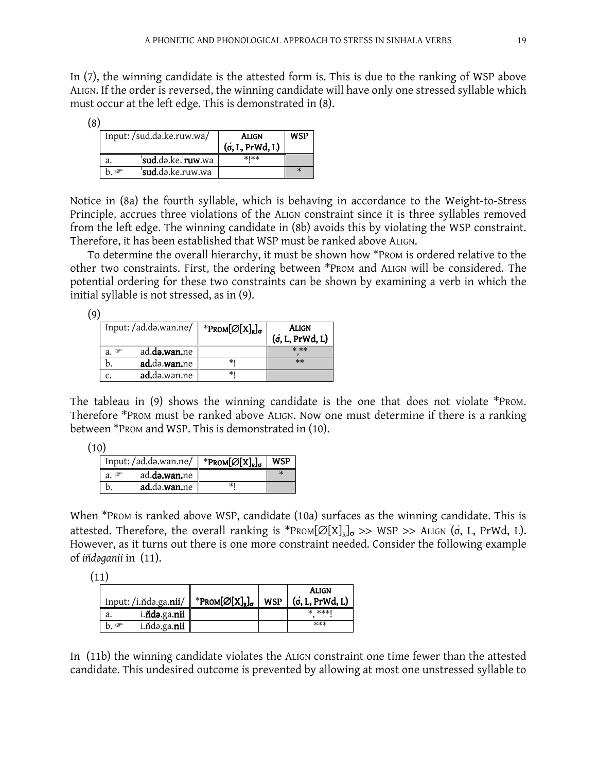In (7), the winning candidate is the attested form is. This is due to the ranking of WSP above ALIGN. If the order is reversed, the winning candidate will have only one stressed syllable which must occur at the left edge. This is demonstrated in (8).

(8)

| Input:/sud.də.ke.ruw.wa/                   | Align<br>$(\sigma, L, PrWd, L)$ | <b>WSP</b> |
|--------------------------------------------|---------------------------------|------------|
| ' <b>sud</b> .də.ke.' <b>ruw</b> .wa<br>a. | $*$ $*$                         |            |
| sud.də.ke.ruw.wa                           |                                 |            |

Notice in (8a) the fourth syllable, which is behaving in accordance to the Weight-to-Stress Principle, accrues three violations of the ALIGN constraint since it is three syllables removed from the left edge. The winning candidate in (8b) avoids this by violating the WSP constraint. Therefore, it has been established that WSP must be ranked above ALIGN.

To determine the overall hierarchy, it must be shown how \*PROM is ordered relative to the other two constraints. First, the ordering between \*PROM and ALIGN will be considered. The potential ordering for these two constraints can be shown by examining a verb in which the initial syllable is not stressed, as in (9).

(9)

|                  | Input: /ad.də.wan.ne/ | *Prom $[\varnothing[X]_{R}]_{\sigma}$ | Align<br>$($ o, L, PrWd, L) |
|------------------|-----------------------|---------------------------------------|-----------------------------|
| a. $\mathcal{F}$ | ad.da.wan.ne          |                                       | $***$                       |
|                  | ad.da.wan.ne          | *1                                    | $**$                        |
|                  | ad.də.wan.ne          | *1                                    |                             |

The tableau in (9) shows the winning candidate is the one that does not violate \*PROM. Therefore \*PROM must be ranked above ALIGN. Now one must determine if there is a ranking between \*PROM and WSP. This is demonstrated in (10).

| Input:/ad.də.wan.ne/                        | $*PROM[\varnothing[X]_{R}]_{\sigma}$ | <b>WSP</b> |
|---------------------------------------------|--------------------------------------|------------|
| ad. <b>də.wan.</b> ne<br>$\mathbb{G}$<br>а. |                                      |            |
| ad.də.wan.ne                                |                                      |            |

When \*PROM is ranked above WSP, candidate (10a) surfaces as the winning candidate. This is attested. Therefore, the overall ranking is  $*PROM[Ø[X]_R]_{\sigma} \gg WSP \gg ALIGN$  (o, L, PrWd, L). However, as it turns out there is one more constraint needed. Consider the following example of indaganii in (11).

(11)

|                                        |                                            |            | ALIGN              |
|----------------------------------------|--------------------------------------------|------------|--------------------|
| Input: /i.ňdə.ga. <b>nii</b> /         | $\ $ *Prom $[\varnothing[X]_{R}]_{\sigma}$ | <b>WSP</b> | $($ o, L, PrWd, L) |
| i. <b>ňdə</b> .ga.nii $\ $<br>a.       |                                            |            | * ***1             |
| i. $\mathbf{Mod}$ .ga.nii<br>$h \circ$ |                                            |            | ***                |

In (11b) the winning candidate violates the ALIGN constraint one time fewer than the attested candidate. This undesired outcome is prevented by allowing at most one unstressed syllable to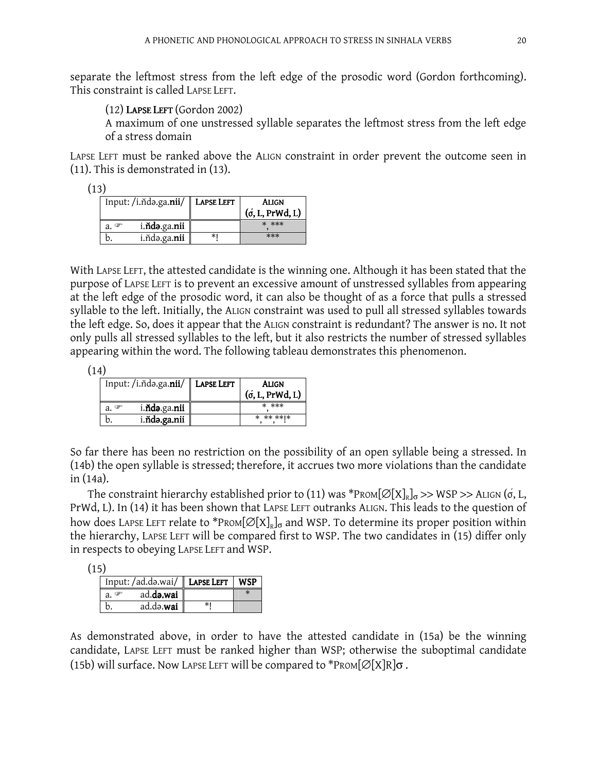separate the leftmost stress from the left edge of the prosodic word (Gordon forthcoming). This constraint is called LAPSE LEFT.

(12) LAPSE LEFT (Gordon 2002)

A maximum of one unstressed syllable separates the leftmost stress from the left edge of a stress domain

LAPSE LEFT must be ranked above the ALIGN constraint in order prevent the outcome seen in (11). This is demonstrated in (13).

| Input: /i.ňdə.ga.nii/ LAPSE LEFT |                               |    | <b>ALIGN</b><br>$($ o, L, PrWd, L) |
|----------------------------------|-------------------------------|----|------------------------------------|
| a. $\mathcal{F}$                 | i. <b>ňdə</b> .ga. <b>nii</b> |    | * ***                              |
|                                  | i.ňdə.ga.nii                  | ∗ı | $***$                              |

With LAPSE LEFT, the attested candidate is the winning one. Although it has been stated that the purpose of LAPSE LEFT is to prevent an excessive amount of unstressed syllables from appearing at the left edge of the prosodic word, it can also be thought of as a force that pulls a stressed syllable to the left. Initially, the ALIGN constraint was used to pull all stressed syllables towards the left edge. So, does it appear that the ALIGN constraint is redundant? The answer is no. It not only pulls all stressed syllables to the left, but it also restricts the number of stressed syllables appearing within the word. The following tableau demonstrates this phenomenon.

(14)

| Input: /i. nda.ga.nii/   LAPSE LEFT   | <b>ALIGN</b><br>$($ o, L, PrWd, L) |
|---------------------------------------|------------------------------------|
| i. <b>ňdə</b> .ga. <b>nii</b><br>a. F | * ***                              |
| i.ňda.ga.nii                          | * ** ** *                          |

So far there has been no restriction on the possibility of an open syllable being a stressed. In (14b) the open syllable is stressed; therefore, it accrues two more violations than the candidate in (14a).

The constraint hierarchy established prior to (11) was \*P<code>ROM[ $\varnothing[{\rm X}]_{\rm R}]_{\sigma}$ >> WSP</code> >> ALIGN (ó, L, PrWd, L). In (14) it has been shown that LAPSE LEFT outranks ALIGN. This leads to the question of how does Lapse Left relate to  $^*$ Prom $[\varnothing[X]_{\scriptscriptstyle \rm R}]_{\sigma}$  and WSP. To determine its proper position within the hierarchy, LAPSE LEFT will be compared first to WSP. The two candidates in (15) differ only in respects to obeying LAPSE LEFT and WSP.

```
(15)
```

| Input: /ad.də.wai/ LAPSE LEFT |  |
|-------------------------------|--|
| ad.da.wai                     |  |
| ad.də.wai                     |  |

As demonstrated above, in order to have the attested candidate in (15a) be the winning candidate, LAPSE LEFT must be ranked higher than WSP; otherwise the suboptimal candidate (15b) will surface. Now LAPSE LEFT will be compared to \*PROM $\varnothing[X]$ R $\sigma$ .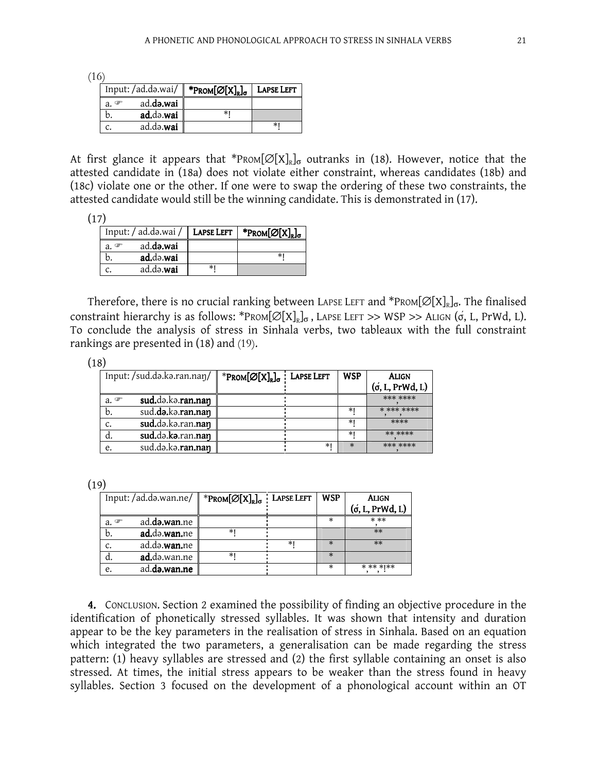(16)

| Input: /ad.də.wai/ |           | * $PROM[Ø[X]_R]_{\sigma}$ | <b>LAPSE LEFT</b> |
|--------------------|-----------|---------------------------|-------------------|
| a. $\mathcal{F}$   | ad.də.wai |                           |                   |
|                    | ad.də.wai |                           |                   |
|                    | ad.də.wai |                           | $\ast$            |

At first glance it appears that \*Prom $[\varnothing[X]_{\R}]_{\sigma}$  outranks in (18). However, notice that the attested candidate in (18a) does not violate either constraint, whereas candidates (18b) and (18c) violate one or the other. If one were to swap the ordering of these two constraints, the attested candidate would still be the winning candidate. This is demonstrated in (17).

| Input: / ad.də.wai / LAPSE LEFT |                   |    | * $PROM[\varnothing[X]_{R}]_{\sigma}$ |
|---------------------------------|-------------------|----|---------------------------------------|
| a. $\mathcal{F}$                | ad.d <b>a.wai</b> |    |                                       |
|                                 | ad.də.wai         |    |                                       |
|                                 | ad.da.wai         | *1 |                                       |

Therefore, there is no crucial ranking between LAPSE LEFT and  $^*$ PROM[ $\varnothing[{\rm X}]_{\rm R}$ ] $_{\rm \sigma}$ . The finalised constraint hierarchy is as follows: \*PROM $[\varnothing[X]_{R}]_{\sigma}$ , LAPSE LEFT >> WSP >> ALIGN ( $\sigma$ , L, PrWd, L). To conclude the analysis of stress in Sinhala verbs, two tableaux with the full constraint rankings are presented in (18) and (19).

| × |  |
|---|--|

| Input: /sud.də.kə.ran.nan/ |                   | * $\text{PROM}[\varnothing[X]_{R}]_{\sigma}$ Lapse Left |    | WSP    | <b>ALIGN</b><br>$($ o, L, PrWd, L) |
|----------------------------|-------------------|---------------------------------------------------------|----|--------|------------------------------------|
| a. $\mathcal{F}$           | sud.da.ka.ran.nan |                                                         |    |        | *** ****                           |
| b.                         | sud.da.ka.ran.nan |                                                         |    | ∗      | * *** ****                         |
| c.                         | sud.də.kə.ran.nan |                                                         |    | ∗      | ****                               |
| a.                         | sud.də.kə.ran.nan |                                                         |    | $\ast$ | ** ****                            |
| e.                         | sud.da.ka.ran.nan |                                                         | ∗⊧ | $\ast$ | *** ****                           |

 $(19)$ 

| Input: /ad.də.wan.ne/ |                       | * $PROM[\varnothing[X]_{R}]_{\sigma}$ Lapse Left |    | WSP    | Align<br>$($ o, L, PrWd, L) |
|-----------------------|-----------------------|--------------------------------------------------|----|--------|-----------------------------|
| $a \in$               | ad. <b>də.wan</b> .ne |                                                  |    |        | $***$                       |
| b.                    | ad.da.wan.ne          | *1                                               |    |        | $**$                        |
| $\mathsf{C}$ .        | ad.də. <b>wan.</b> ne |                                                  | *1 |        | $**$                        |
| d.                    | <b>ad.</b> də.wan.ne  | *1                                               |    | $\ast$ |                             |
| e.                    | ad.da.wan.ne          |                                                  |    | *      | * ** * **                   |

4. CONCLUSION. Section 2 examined the possibility of finding an objective procedure in the identification of phonetically stressed syllables. It was shown that intensity and duration appear to be the key parameters in the realisation of stress in Sinhala. Based on an equation which integrated the two parameters, a generalisation can be made regarding the stress pattern: (1) heavy syllables are stressed and (2) the first syllable containing an onset is also stressed. At times, the initial stress appears to be weaker than the stress found in heavy syllables. Section 3 focused on the development of a phonological account within an OT